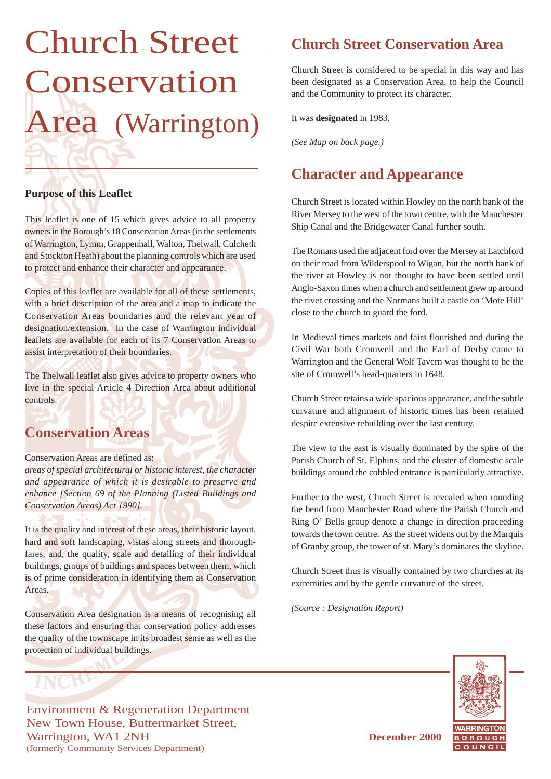# Church Street Conservation Area (Warrington)

### **Purpose of this Leaflet**

This leaflet is one of 15 which gives advice to all property owners in the Borough's 18 Conservation Areas (in the settlements of Warrington, Lymm, Grappenhall, Walton, Thelwall, Culcheth and Stockton Heath) about the planning controls which are used to protect and enhance their character and appearance.

Copies of this leaflet are available for all of these settlements, with a brief description of the area and a map to indicate the Conservation Areas boundaries and the relevant year of designation/extension. In the case of Warrington individual leaflets are available for each of its 7 Conservation Areas to assist interpretation of their boundaries.

The Thelwall leaflet also gives advice to property owners who live in the special Article 4 Direction Area about additional controls.

### **Conservation Areas**

### Conservation Areas are defined as:

*areas of special architectural or historic interest, the character and appearance of which it is desirable to preserve and enhance [Section 69 of the Planning (Listed Buildings and Conservation Areas) Act 1990].*

It is the quality and interest of these areas, their historic layout, hard and soft landscaping, vistas along streets and thoroughfares, and, the quality, scale and detailing of their individual buildings, groups of buildings and spaces between them, which is of prime consideration in identifying them as Conservation Areas.

Conservation Area designation is a means of recognising all these factors and ensuring that conservation policy addresses the quality of the townscape in its broadest sense as well as the protection of individual buildings.

# **Church Street Conservation Area**

Church Street is considered to be special in this way and has been designated as a Conservation Area, to help the Council and the Community to protect its character.

It was **designated** in 1983.

*(See Map on back page.)*

# **Character and Appearance**

Church Street is located within Howley on the north bank of the River Mersey to the west of the town centre, with the Manchester Ship Canal and the Bridgewater Canal further south.

The Romans used the adjacent ford over the Mersey at Latchford on their road from Wilderspool to Wigan, but the north bank of the river at Howley is not thought to have been settled until Anglo-Saxon times when a church and settlement grew up around the river crossing and the Normans built a castle on 'Mote Hill' close to the church to guard the ford.

In Medieval times markets and fairs flourished and during the Civil War both Cromwell and the Earl of Derby came to Warrington and the General Wolf Tavern was thought to be the site of Cromwell's head-quarters in 1648.

Church Street retains a wide spacious appearance, and the subtle curvature and alignment of historic times has been retained despite extensive rebuilding over the last century.

The view to the east is visually dominated by the spire of the Parish Church of St. Elphins, and the cluster of domestic scale buildings around the cobbled entrance is particularly attractive.

Further to the west, Church Street is revealed when rounding the bend from Manchester Road where the Parish Church and Ring O' Bells group denote a change in direction proceeding towards the town centre. As the street widens out by the Marquis of Granby group, the tower of st. Mary's dominates the skyline.

Church Street thus is visually contained by two churches at its extremities and by the gentle curvature of the street.

*(Source : Designation Report)*



Environment & Regeneration Department New Town House, Buttermarket Street, Warrington, WA1 2NH **December 2000** (formerly Community Services Department)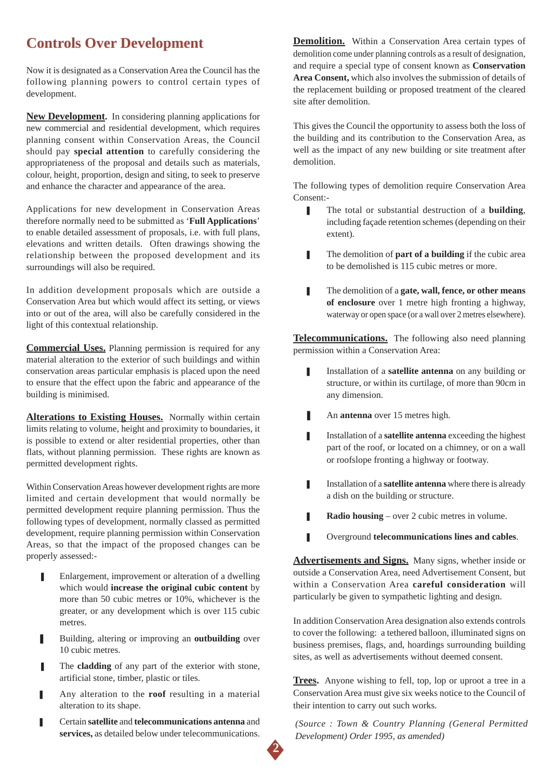### **Controls Over Development**

Now it is designated as a Conservation Area the Council has the following planning powers to control certain types of development.

**New Development.** In considering planning applications for new commercial and residential development, which requires planning consent within Conservation Areas, the Council should pay **special attention** to carefully considering the appropriateness of the proposal and details such as materials, colour, height, proportion, design and siting, to seek to preserve and enhance the character and appearance of the area.

Applications for new development in Conservation Areas therefore normally need to be submitted as '**Full Applications**' to enable detailed assessment of proposals, i.e. with full plans, elevations and written details. Often drawings showing the relationship between the proposed development and its surroundings will also be required.

In addition development proposals which are outside a Conservation Area but which would affect its setting, or views into or out of the area, will also be carefully considered in the light of this contextual relationship.

**Commercial Uses.** Planning permission is required for any material alteration to the exterior of such buildings and within conservation areas particular emphasis is placed upon the need to ensure that the effect upon the fabric and appearance of the building is minimised.

**Alterations to Existing Houses.** Normally within certain limits relating to volume, height and proximity to boundaries, it is possible to extend or alter residential properties, other than flats, without planning permission. These rights are known as permitted development rights.

Within Conservation Areas however development rights are more limited and certain development that would normally be permitted development require planning permission. Thus the following types of development, normally classed as permitted development, require planning permission within Conservation Areas, so that the impact of the proposed changes can be properly assessed:-

- Enlargement, improvement or alteration of a dwelling which would **increase the original cubic content** by more than 50 cubic metres or 10%, whichever is the greater, or any development which is over 115 cubic metres.
- Building, altering or improving an **outbuilding** over 10 cubic metres.
- The **cladding** of any part of the exterior with stone, artificial stone, timber, plastic or tiles.
- Any alteration to the **roof** resulting in a material alteration to its shape.
- ❚ Certain **satellite** and **telecommunications antenna** and **services,** as detailed below under telecommunications.

**Demolition.** Within a Conservation Area certain types of demolition come under planning controls as a result of designation, and require a special type of consent known as **Conservation Area Consent,** which also involves the submission of details of the replacement building or proposed treatment of the cleared site after demolition.

This gives the Council the opportunity to assess both the loss of the building and its contribution to the Conservation Area, as well as the impact of any new building or site treatment after demolition.

The following types of demolition require Conservation Area Consent:-

- The total or substantial destruction of a **building**, including façade retention schemes (depending on their extent).
- **■** The demolition of **part of a building** if the cubic area to be demolished is 115 cubic metres or more.
- ❚ The demolition of a **gate, wall, fence, or other means of enclosure** over 1 metre high fronting a highway, waterway or open space (or a wall over 2 metres elsewhere).

**Telecommunications.** The following also need planning permission within a Conservation Area:

- Installation of a **satellite antenna** on any building or structure, or within its curtilage, of more than 90cm in any dimension.
- An **antenna** over 15 metres high.
- **■** Installation of a **satellite antenna** exceeding the highest part of the roof, or located on a chimney, or on a wall or roofslope fronting a highway or footway.
- **I** Installation of a **satellite antenna** where there is already a dish on the building or structure.
- **■** Radio housing over 2 cubic metres in volume.
- ❚ Overground **telecommunications lines and cables**.

**Advertisements and Signs.** Many signs, whether inside or outside a Conservation Area, need Advertisement Consent, but within a Conservation Area **careful consideration** will particularly be given to sympathetic lighting and design.

In addition Conservation Area designation also extends controls to cover the following: a tethered balloon, illuminated signs on business premises, flags, and, hoardings surrounding building sites, as well as advertisements without deemed consent.

**Trees.** Anyone wishing to fell, top, lop or uproot a tree in a Conservation Area must give six weeks notice to the Council of their intention to carry out such works.

*(Source : Town & Country Planning (General Permitted Development) Order 1995, as amended)*

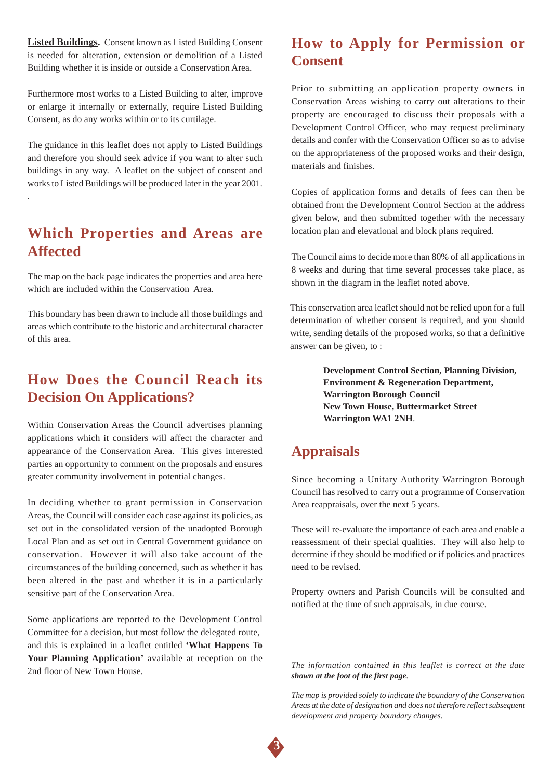**Listed Buildings.** Consent known as Listed Building Consent is needed for alteration, extension or demolition of a Listed Building whether it is inside or outside a Conservation Area.

Furthermore most works to a Listed Building to alter, improve or enlarge it internally or externally, require Listed Building Consent, as do any works within or to its curtilage.

The guidance in this leaflet does not apply to Listed Buildings and therefore you should seek advice if you want to alter such buildings in any way. A leaflet on the subject of consent and works to Listed Buildings will be produced later in the year 2001.

.

### **Which Properties and Areas are Affected**

The map on the back page indicates the properties and area here which are included within the Conservation Area.

This boundary has been drawn to include all those buildings and areas which contribute to the historic and architectural character of this area.

### **How Does the Council Reach its Decision On Applications?**

Within Conservation Areas the Council advertises planning applications which it considers will affect the character and appearance of the Conservation Area. This gives interested parties an opportunity to comment on the proposals and ensures greater community involvement in potential changes.

In deciding whether to grant permission in Conservation Areas, the Council will consider each case against its policies, as set out in the consolidated version of the unadopted Borough Local Plan and as set out in Central Government guidance on conservation. However it will also take account of the circumstances of the building concerned, such as whether it has been altered in the past and whether it is in a particularly sensitive part of the Conservation Area.

Some applications are reported to the Development Control Committee for a decision, but most follow the delegated route, and this is explained in a leaflet entitled **'What Happens To Your Planning Application'** available at reception on the 2nd floor of New Town House.

### **How to Apply for Permission or Consent**

Prior to submitting an application property owners in Conservation Areas wishing to carry out alterations to their property are encouraged to discuss their proposals with a Development Control Officer, who may request preliminary details and confer with the Conservation Officer so as to advise on the appropriateness of the proposed works and their design, materials and finishes.

Copies of application forms and details of fees can then be obtained from the Development Control Section at the address given below, and then submitted together with the necessary location plan and elevational and block plans required.

The Council aims to decide more than 80% of all applications in 8 weeks and during that time several processes take place, as shown in the diagram in the leaflet noted above.

This conservation area leaflet should not be relied upon for a full determination of whether consent is required, and you should write, sending details of the proposed works, so that a definitive answer can be given, to :

> **Development Control Section, Planning Division, Environment & Regeneration Department, Warrington Borough Council New Town House, Buttermarket Street Warrington WA1 2NH**.

### **Appraisals**

Since becoming a Unitary Authority Warrington Borough Council has resolved to carry out a programme of Conservation Area reappraisals, over the next 5 years.

These will re-evaluate the importance of each area and enable a reassessment of their special qualities. They will also help to determine if they should be modified or if policies and practices need to be revised.

Property owners and Parish Councils will be consulted and notified at the time of such appraisals, in due course.

*The information contained in this leaflet is correct at the date shown at the foot of the first page.*

*The map is provided solely to indicate the boundary of the Conservation Areas at the date of designation and does not therefore reflect subsequent development and property boundary changes.*